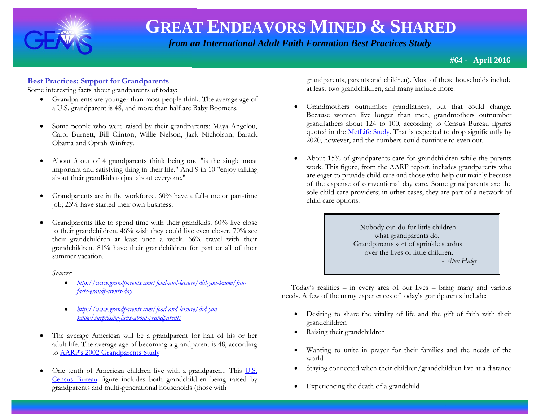

 *from an International Adult Faith Formation Best Practices Study*

**#64 - April 2016**

## **Best Practices: Support for Grandparents**

Some interesting facts about grandparents of today:

- Grandparents are younger than most people think. The average age of a U.S. grandparent is 48, and more than half are Baby Boomers.
- Some people who were raised by their grandparents: Maya Angelou, Carol Burnett, Bill Clinton, Willie Nelson, Jack Nicholson, Barack Obama and Oprah Winfrey.
- About 3 out of 4 grandparents think being one "is the single most important and satisfying thing in their life." And 9 in 10 "enjoy talking about their grandkids to just about everyone."
- Grandparents are in the workforce.  $60\%$  have a full-time or part-time job; 23% have started their own business.
- Grandparents like to spend time with their grandkids. 60% live close to their grandchildren. 46% wish they could live even closer. 70% see their grandchildren at least once a week. 66% travel with their grandchildren. 81% have their grandchildren for part or all of their summer vacation.

*Sources:* 

- *[http://www.grandparents.com/food-and-leisure/did-you-know/fun](http://www.grandparents.com/food-and-leisure/did-you-know/fun-facts-grandparents-day)[facts-grandparents-day](http://www.grandparents.com/food-and-leisure/did-you-know/fun-facts-grandparents-day)*
- *[http://www.grandparents.com/food-and-leisure/did-you](http://www.grandparents.com/food-and-leisure/did-you%20know/surprising-facts-about-grandparents)  [know/surprising-facts-about-grandparents](http://www.grandparents.com/food-and-leisure/did-you%20know/surprising-facts-about-grandparents)*
- The average American will be a grandparent for half of his or her adult life. The average age of becoming a grandparent is 48, according to [AARP's 2002 Grandparents Study](http://assets.aarp.org/rgcenter/general/gp_2002.pdf)
- One tenth of American children live with a grandparent. This U.S. [Census Bureau](http://www.census.gov/newsroom/releases/archives/facts_for_features_special_editions/cb12-ff17.html) figure includes both grandchildren being raised by grandparents and multi-generational households (those with

grandparents, parents and children). Most of these households include at least two grandchildren, and many include more.

- Grandmothers outnumber grandfathers, but that could change. Because women live longer than men, grandmothers outnumber grandfathers about 124 to 100, according to Census Bureau figures quoted in the [MetLife Study.](https://www.metlife.com/assets/cao/mmi/publications/studies/2011/mmi-american-grandparents.pdf) That is expected to drop significantly by 2020, however, and the numbers could continue to even out.
- About 15% of grandparents care for grandchildren while the parents work. This figure, from the AARP report, includes grandparents who are eager to provide child care and those who help out mainly because of the expense of conventional day care. Some grandparents are the sole child care providers; in other cases, they are part of a network of child care options.

 Nobody can do for little children what grandparents do. Grandparents sort of sprinkle stardust over the lives of little children. - *Alex Haley* 

 Today's realities – in every area of our lives – bring many and various needs. A few of the many experiences of today's grandparents include:

- Desiring to share the vitality of life and the gift of faith with their grandchildren
- Raising their grandchildren
- Wanting to unite in prayer for their families and the needs of the world
- Staying connected when their children/grandchildren live at a distance
- Experiencing the death of a grandchild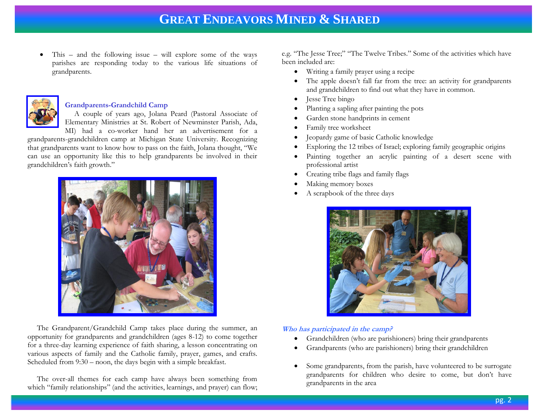• This – and the following issue – will explore some of the ways parishes are responding today to the various life situations of grandparents.



### **Grandparents-Grandchild Camp**

 A couple of years ago, Jolana Peard (Pastoral Associate of Elementary Ministries at St. Robert of Newminster Parish, Ada,

MI) had a co-worker hand her an advertisement for a grandparents-grandchildren camp at Michigan State University. Recognizing that grandparents want to know how to pass on the faith, Jolana thought, "We can use an opportunity like this to help grandparents be involved in their grandchildren's faith growth."



 The Grandparent/Grandchild Camp takes place during the summer, an opportunity for grandparents and grandchildren (ages 8-12) to come together for a three-day learning experience of faith sharing, a lesson concentrating on various aspects of family and the Catholic family, prayer, games, and crafts. Scheduled from 9:30 – noon, the days begin with a simple breakfast.

 The over-all themes for each camp have always been something from which "family relationships" (and the activities, learnings, and prayer) can flow; e.g. "The Jesse Tree;" "The Twelve Tribes." Some of the activities which have been included are:

- Writing a family prayer using a recipe
- The apple doesn't fall far from the tree: an activity for grandparents and grandchildren to find out what they have in common.
- **Jesse Tree bingo**
- Planting a sapling after painting the pots
- Garden stone handprints in cement
- Family tree worksheet
- Jeopardy game of basic Catholic knowledge
- Exploring the 12 tribes of Israel; exploring family geographic origins
- Painting together an acrylic painting of a desert scene with professional artist
- Creating tribe flags and family flags
- Making memory boxes
- A scrapbook of the three days



### **Who has participated in the camp?**

- Grandchildren (who are parishioners) bring their grandparents
- Grandparents (who are parishioners) bring their grandchildren
- Some grandparents, from the parish, have volunteered to be surrogate grandparents for children who desire to come, but don't have grandparents in the area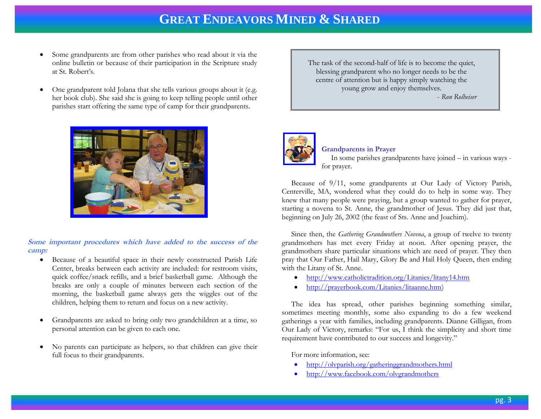- Some grandparents are from other parishes who read about it via the online bulletin or because of their participation in the Scripture study at St. Robert's.
- One grandparent told Jolana that she tells various groups about it (e.g. her book club). She said she is going to keep telling people until other parishes start offering the same type of camp for their grandparents.



**Some important procedures which have added to the success of the camp:**

- Because of a beautiful space in their newly constructed Parish Life Center, breaks between each activity are included: for restroom visits, quick coffee/snack refills, and a brief basketball game. Although the breaks are only a couple of minutes between each section of the morning, the basketball game always gets the wiggles out of the children, helping them to return and focus on a new activity.
- Grandparents are asked to bring only two grandchildren at a time, so personal attention can be given to each one.
- No parents can participate as helpers, so that children can give their full focus to their grandparents.

The task of the second-half of life is to become the quiet, blessing grandparent who no longer needs to be the centre of attention but is happy simply watching the young grow and enjoy themselves.

- *Ron Rolheiser* 



#### **Grandparents in Prayer**

 In some parishes grandparents have joined – in various ways for prayer.

 Because of 9/11, some grandparents at Our Lady of Victory Parish, Centerville, MA, wondered what they could do to help in some way. They knew that many people were praying, but a group wanted to gather for prayer, starting a novena to St. Anne, the grandmother of Jesus. They did just that, beginning on July 26, 2002 (the feast of Sts. Anne and Joachim).

 Since then, the *Gathering Grandmothers Novena*, a group of twelve to twenty grandmothers has met every Friday at noon. After opening prayer, the grandmothers share particular situations which are need of prayer. They then pray that Our Father, Hail Mary, Glory Be and Hail Holy Queen, then ending with the Litany of St. Anne.

- <http://www.catholictradition.org/Litanies/litany14.htm>
- [http://prayerbook.com/Litanies/litaanne.htm\)](http://prayerbook.com/Litanies/litaanne.htm)

 The idea has spread, other parishes beginning something similar, sometimes meeting monthly, some also expanding to do a few weekend gatherings a year with families, including grandparents. Dianne Gilligan, from Our Lady of Victory, remarks: "For us, I think the simplicity and short time requirement have contributed to our success and longevity."

For more information, see:

- <http://olvparish.org/gatheringgrandmothers.html>
- <http://www.facebook.com/olvgrandmothers>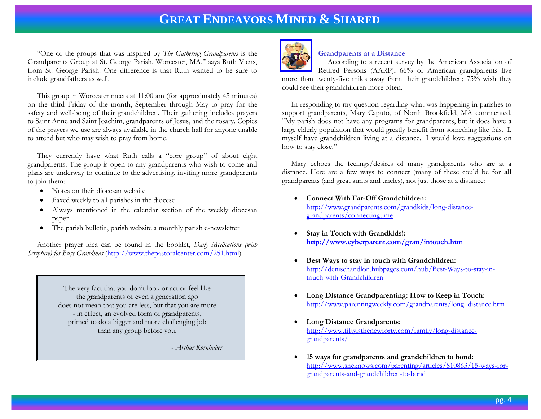"One of the groups that was inspired by *The Gathering Grandparents* is the Grandparents Group at St. George Parish, Worcester, MA," says Ruth Viens, from St. George Parish. One difference is that Ruth wanted to be sure to include grandfathers as well.

 This group in Worcester meets at 11:00 am (for approximately 45 minutes) on the third Friday of the month, September through May to pray for the safety and well-being of their grandchildren. Their gathering includes prayers to Saint Anne and Saint Joachim, grandparents of Jesus, and the rosary. Copies of the prayers we use are always available in the church hall for anyone unable to attend but who may wish to pray from home.

 They currently have what Ruth calls a "core group" of about eight grandparents. The group is open to any grandparents who wish to come and plans are underway to continue to the advertising, inviting more grandparents to join them:

- Notes on their diocesan website
- Faxed weekly to all parishes in the diocese
- Always mentioned in the calendar section of the weekly diocesan paper
- The parish bulletin, parish website a monthly parish e-newsletter

 Another prayer idea can be found in the booklet, *Daily Meditations (with Scripture) for Busy Grandmas* [\(http://www.thepastoralcenter.com/251.html\)](http://www.thepastoralcenter.com/251.html).

> The very fact that you don't look or act or feel like the grandparents of even a generation ago does not mean that you are less, but that you are more - in effect, an evolved form of grandparents, primed to do a bigger and more challenging job than any group before you.

> > - *Arthur Kornhaber*



### **Grandparents at a Distance**

 According to a recent survey by the American Association of Retired Persons (AARP), 66% of American grandparents live more than twenty-five miles away from their grandchildren; 75% wish they could see their grandchildren more often.

 In responding to my question regarding what was happening in parishes to support grandparents, Mary Caputo, of North Brookfield, MA commented, "My parish does not have any programs for grandparents, but it does have a large elderly population that would greatly benefit from something like this. I, myself have grandchildren living at a distance. I would love suggestions on how to stay close."

 Mary echoes the feelings/desires of many grandparents who are at a distance. Here are a few ways to connect (many of these could be for **all**  grandparents (and great aunts and uncles), not just those at a distance:

- **Connect With Far-Off Grandchildren:** [http://www.grandparents.com/grandkids/long-distance](http://www.grandparents.com/grandkids/long-distance-grandparents/connectingtime)[grandparents/connectingtime](http://www.grandparents.com/grandkids/long-distance-grandparents/connectingtime)
- **Stay in Touch with Grandkids!: <http://www.cyberparent.com/gran/intouch.htm>**
- **Best Ways to stay in touch with Grandchildren:**  [http://denisehandlon.hubpages.com/hub/Best-Ways-to-stay-in](http://denisehandlon.hubpages.com/hub/Best-Ways-to-stay-in-touch-with-Grandchildren)[touch-with-Grandchildren](http://denisehandlon.hubpages.com/hub/Best-Ways-to-stay-in-touch-with-Grandchildren)
- **Long Distance Grandparenting: How to Keep in Touch:** [http://www.parentingweekly.com/grandparents/long\\_distance.htm](http://www.parentingweekly.com/grandparents/long_distance.htm)
- **Long Distance Grandparents:**  [http://www.fiftyisthenewforty.com/family/long-distance](http://www.fiftyisthenewforty.com/family/long-distance-grandparents/)[grandparents/](http://www.fiftyisthenewforty.com/family/long-distance-grandparents/)
- **15 ways for grandparents and grandchildren to bond:**  [http://www.sheknows.com/parenting/articles/810863/15-ways-for](http://www.sheknows.com/parenting/articles/810863/15-ways-for-grandparents-and-grandchildren-to-bond)[grandparents-and-grandchildren-to-bond](http://www.sheknows.com/parenting/articles/810863/15-ways-for-grandparents-and-grandchildren-to-bond)